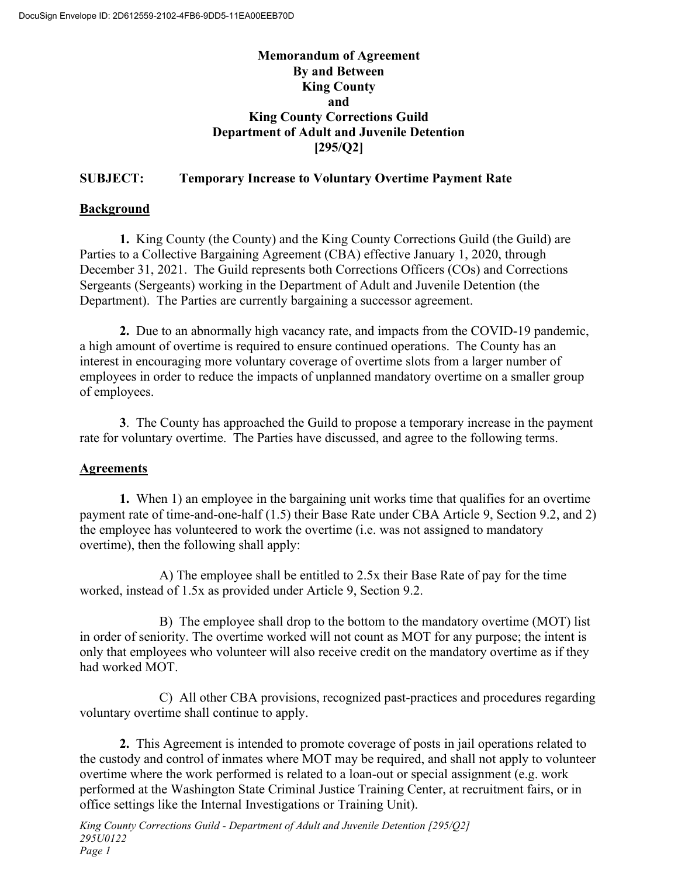# **Memorandum of Agreement By and Between King County and King County Corrections Guild Department of Adult and Juvenile Detention [295/Q2]**

# **SUBJECT: Temporary Increase to Voluntary Overtime Payment Rate**

# **Background**

**1.** King County (the County) and the King County Corrections Guild (the Guild) are Parties to a Collective Bargaining Agreement (CBA) effective January 1, 2020, through December 31, 2021. The Guild represents both Corrections Officers (COs) and Corrections Sergeants (Sergeants) working in the Department of Adult and Juvenile Detention (the Department). The Parties are currently bargaining a successor agreement.

**2.** Due to an abnormally high vacancy rate, and impacts from the COVID-19 pandemic, a high amount of overtime is required to ensure continued operations. The County has an interest in encouraging more voluntary coverage of overtime slots from a larger number of employees in order to reduce the impacts of unplanned mandatory overtime on a smaller group of employees.

**3**. The County has approached the Guild to propose a temporary increase in the payment rate for voluntary overtime. The Parties have discussed, and agree to the following terms.

# **Agreements**

**1.** When 1) an employee in the bargaining unit works time that qualifies for an overtime payment rate of time-and-one-half (1.5) their Base Rate under CBA Article 9, Section 9.2, and 2) the employee has volunteered to work the overtime (i.e. was not assigned to mandatory overtime), then the following shall apply:

A) The employee shall be entitled to 2.5x their Base Rate of pay for the time worked, instead of 1.5x as provided under Article 9, Section 9.2.

B) The employee shall drop to the bottom to the mandatory overtime (MOT) list in order of seniority. The overtime worked will not count as MOT for any purpose; the intent is only that employees who volunteer will also receive credit on the mandatory overtime as if they had worked MOT.

C) All other CBA provisions, recognized past-practices and procedures regarding voluntary overtime shall continue to apply.

**2.** This Agreement is intended to promote coverage of posts in jail operations related to the custody and control of inmates where MOT may be required, and shall not apply to volunteer overtime where the work performed is related to a loan-out or special assignment (e.g. work performed at the Washington State Criminal Justice Training Center, at recruitment fairs, or in office settings like the Internal Investigations or Training Unit).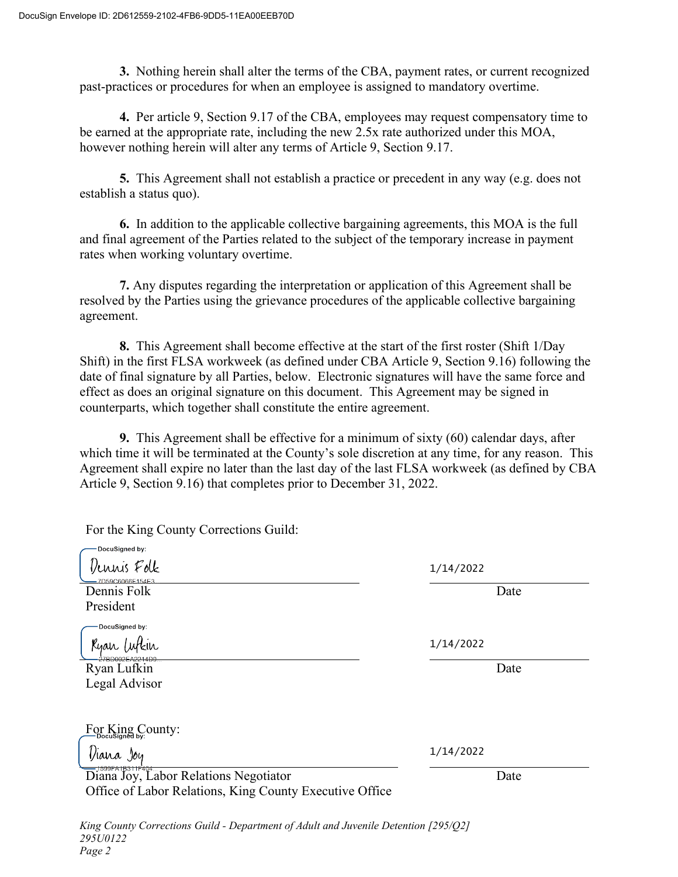For the King County Corrections Guild:

**3.** Nothing herein shall alter the terms of the CBA, payment rates, or current recognized past-practices or procedures for when an employee is assigned to mandatory overtime.

**4.** Per article 9, Section 9.17 of the CBA, employees may request compensatory time to be earned at the appropriate rate, including the new 2.5x rate authorized under this MOA, however nothing herein will alter any terms of Article 9, Section 9.17.

**5.** This Agreement shall not establish a practice or precedent in any way (e.g. does not establish a status quo).

**6.** In addition to the applicable collective bargaining agreements, this MOA is the full and final agreement of the Parties related to the subject of the temporary increase in payment rates when working voluntary overtime.

**7.** Any disputes regarding the interpretation or application of this Agreement shall be resolved by the Parties using the grievance procedures of the applicable collective bargaining agreement.

**8.** This Agreement shall become effective at the start of the first roster (Shift 1/Day Shift) in the first FLSA workweek (as defined under CBA Article 9, Section 9.16) following the date of final signature by all Parties, below. Electronic signatures will have the same force and effect as does an original signature on this document. This Agreement may be signed in counterparts, which together shall constitute the entire agreement.

**9.** This Agreement shall be effective for a minimum of sixty (60) calendar days, after which time it will be terminated at the County's sole discretion at any time, for any reason. This Agreement shall expire no later than the last day of the last FLSA workweek (as defined by CBA Article 9, Section 9.16) that completes prior to December 31, 2022.

| DocuSigned by:<br>lennis Folk                                     | 1/14/2022 |      |
|-------------------------------------------------------------------|-----------|------|
| 7D59C6066F154F<br>Dennis Folk                                     |           | Date |
| President                                                         |           |      |
| DocuSigned by:                                                    |           |      |
| Kyan                                                              | 1/14/2022 |      |
| Ryan Lufkin                                                       |           | Date |
| Legal Advisor                                                     |           |      |
|                                                                   |           |      |
| $\underline{\mathrm{For}}$ $\mathrm{King}_{\mathrm{byc}}$ County: |           |      |
| Viana Joy                                                         | 1/14/2022 |      |
| Diana Joy, Labor Relations Negotiator                             |           | Date |
| Office of Labor Relations, King County Executive Office           |           |      |
|                                                                   |           |      |

*King County Corrections Guild - Department of Adult and Juvenile Detention [295/Q2] 295U0122 Page 2*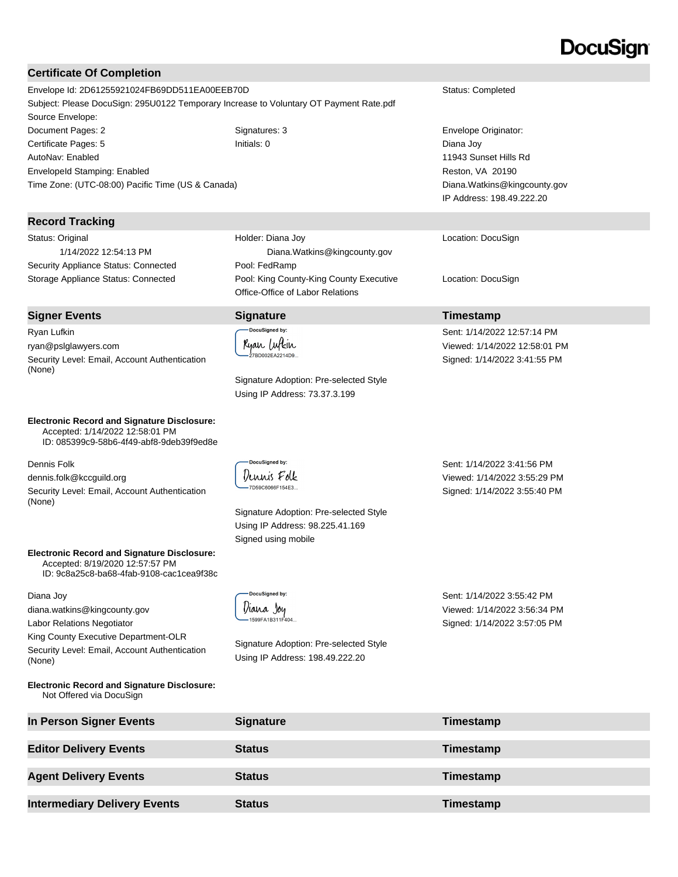#### **Certificate Of Completion**

Envelope Id: 2D61255921024FB69DD511EA00EEB70D Status: Completed Subject: Please DocuSign: 295U0122 Temporary Increase to Voluntary OT Payment Rate.pdf Source Envelope: Document Pages: 2 Signatures: 3 Envelope Originator: Certificate Pages: 5 Initials: 0 Diana Joy AutoNav: Enabled EnvelopeId Stamping: Enabled

#### **Record Tracking**

Status: Original 1/14/2022 12:54:13 PM Security Appliance Status: Connected Pool: FedRamp

Time Zone: (UTC-08:00) Pacific Time (US & Canada)

#### **Signer Events Signature Timestamp**

Ryan Lufkin ryan@pslglawyers.com Security Level: Email, Account Authentication (None)

**Electronic Record and Signature Disclosure:**  Accepted: 1/14/2022 12:58:01 PM

ID: 085399c9-58b6-4f49-abf8-9deb39f9ed8e

Dennis Folk

dennis.folk@kccguild.org Security Level: Email, Account Authentication (None)

**Electronic Record and Signature Disclosure:**  Accepted: 8/19/2020 12:57:57 PM

ID: 9c8a25c8-ba68-4fab-9108-cac1cea9f38c

Diana Joy

diana.watkins@kingcounty.gov Labor Relations Negotiator

King County Executive Department-OLR Security Level: Email, Account Authentication (None)

**Electronic Record and Signature Disclosure:**  Not Offered via DocuSign

Holder: Diana Joy Diana.Watkins@kingcounty.gov Storage Appliance Status: Connected Pool: King County-King County Executive Office-Office of Labor Relations

DocuSigned by: Ryan Lufkin 27BD002EA2214D9.

-<br>DocuSianed by: Dennis Folk 7D59C6066F154E3...

Signature Adoption: Pre-selected Style Using IP Address: 73.37.3.199

Signature Adoption: Pre-selected Style Using IP Address: 98.225.41.169 Signed using mobile

DocuSigned by: Diana Joy 1599FA1B311F404.

Signature Adoption: Pre-selected Style Using IP Address: 198.49.222.20

Sent: 1/14/2022 3:55:42 PM Viewed: 1/14/2022 3:56:34 PM Signed: 1/14/2022 3:57:05 PM

**In Person Signer Events Signature Timestamp Editor Delivery Events Status Timestamp Agent Delivery Events Status Timestamp Intermediary Delivery Events Status Timestamp** 

# DocuSian

11943 Sunset Hills Rd Reston, VA 20190 Diana.Watkins@kingcounty.gov IP Address: 198.49.222.20

Location: DocuSign

Location: DocuSign

Sent: 1/14/2022 12:57:14 PM Viewed: 1/14/2022 12:58:01 PM Signed: 1/14/2022 3:41:55 PM

Sent: 1/14/2022 3:41:56 PM Viewed: 1/14/2022 3:55:29 PM Signed: 1/14/2022 3:55:40 PM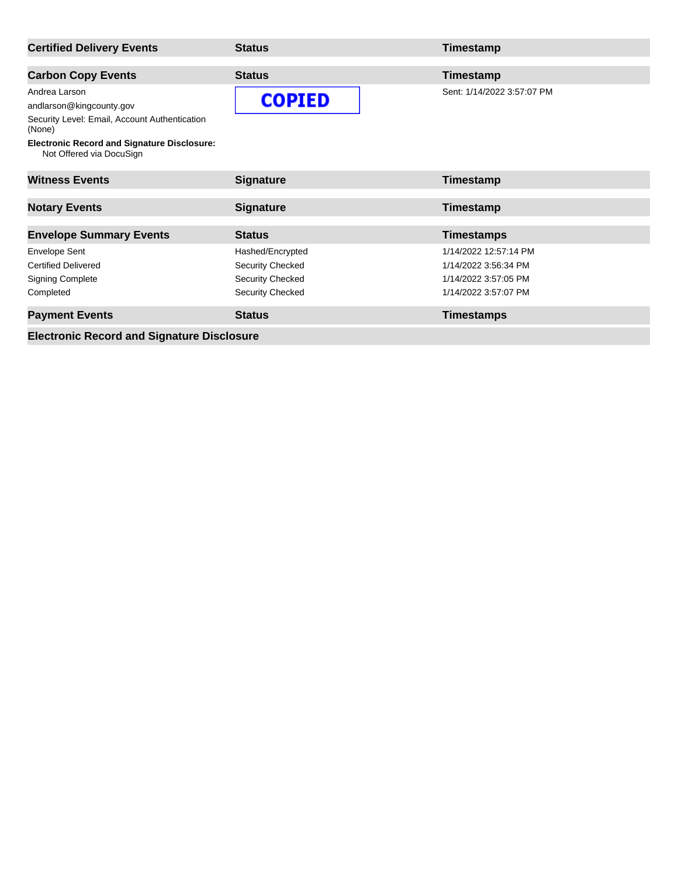| <b>Certified Delivery Events</b>                                                                                                                                                       | <b>Status</b>                                                                              | Timestamp                                                                                     |
|----------------------------------------------------------------------------------------------------------------------------------------------------------------------------------------|--------------------------------------------------------------------------------------------|-----------------------------------------------------------------------------------------------|
| <b>Carbon Copy Events</b>                                                                                                                                                              | <b>Status</b>                                                                              | Timestamp                                                                                     |
| Andrea Larson<br>andlarson@kingcounty.gov<br>Security Level: Email, Account Authentication<br>(None)<br><b>Electronic Record and Signature Disclosure:</b><br>Not Offered via DocuSign | <b>COPIED</b>                                                                              | Sent: 1/14/2022 3:57:07 PM                                                                    |
| <b>Witness Events</b>                                                                                                                                                                  | <b>Signature</b>                                                                           | Timestamp                                                                                     |
| <b>Notary Events</b>                                                                                                                                                                   | <b>Signature</b>                                                                           | Timestamp                                                                                     |
| <b>Envelope Summary Events</b>                                                                                                                                                         | <b>Status</b>                                                                              | <b>Timestamps</b>                                                                             |
| <b>Envelope Sent</b><br><b>Certified Delivered</b><br><b>Signing Complete</b><br>Completed                                                                                             | Hashed/Encrypted<br><b>Security Checked</b><br><b>Security Checked</b><br>Security Checked | 1/14/2022 12:57:14 PM<br>1/14/2022 3:56:34 PM<br>1/14/2022 3:57:05 PM<br>1/14/2022 3:57:07 PM |
| <b>Payment Events</b>                                                                                                                                                                  | <b>Status</b>                                                                              | <b>Timestamps</b>                                                                             |

**Electronic Record and Signature Disclosure**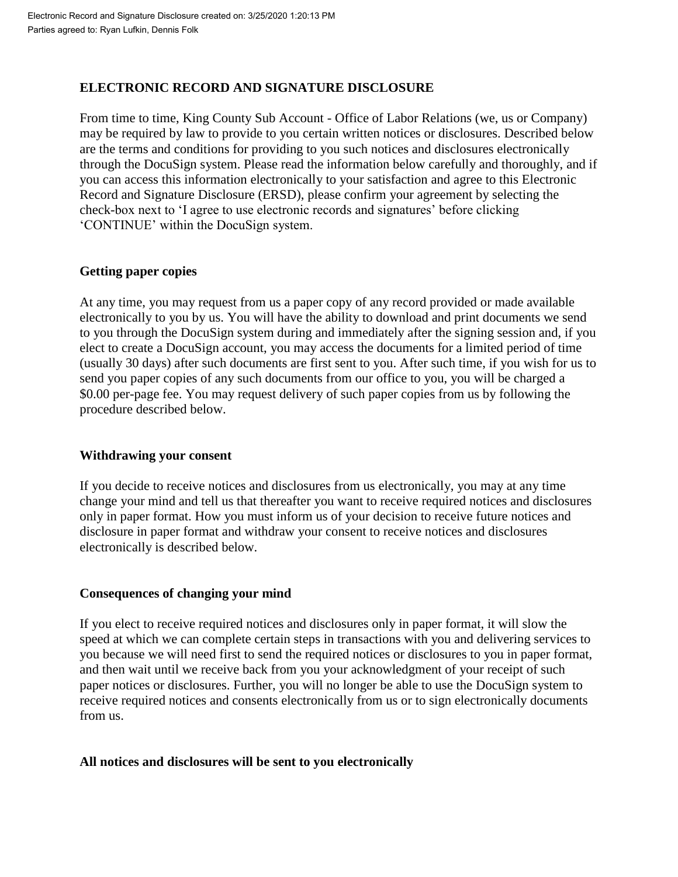#### **ELECTRONIC RECORD AND SIGNATURE DISCLOSURE**

From time to time, King County Sub Account - Office of Labor Relations (we, us or Company) may be required by law to provide to you certain written notices or disclosures. Described below are the terms and conditions for providing to you such notices and disclosures electronically through the DocuSign system. Please read the information below carefully and thoroughly, and if you can access this information electronically to your satisfaction and agree to this Electronic Record and Signature Disclosure (ERSD), please confirm your agreement by selecting the check-box next to 'I agree to use electronic records and signatures' before clicking 'CONTINUE' within the DocuSign system.

#### **Getting paper copies**

At any time, you may request from us a paper copy of any record provided or made available electronically to you by us. You will have the ability to download and print documents we send to you through the DocuSign system during and immediately after the signing session and, if you elect to create a DocuSign account, you may access the documents for a limited period of time (usually 30 days) after such documents are first sent to you. After such time, if you wish for us to send you paper copies of any such documents from our office to you, you will be charged a \$0.00 per-page fee. You may request delivery of such paper copies from us by following the procedure described below.

#### **Withdrawing your consent**

If you decide to receive notices and disclosures from us electronically, you may at any time change your mind and tell us that thereafter you want to receive required notices and disclosures only in paper format. How you must inform us of your decision to receive future notices and disclosure in paper format and withdraw your consent to receive notices and disclosures electronically is described below.

# **Consequences of changing your mind**

If you elect to receive required notices and disclosures only in paper format, it will slow the speed at which we can complete certain steps in transactions with you and delivering services to you because we will need first to send the required notices or disclosures to you in paper format, and then wait until we receive back from you your acknowledgment of your receipt of such paper notices or disclosures. Further, you will no longer be able to use the DocuSign system to receive required notices and consents electronically from us or to sign electronically documents from us.

# **All notices and disclosures will be sent to you electronically**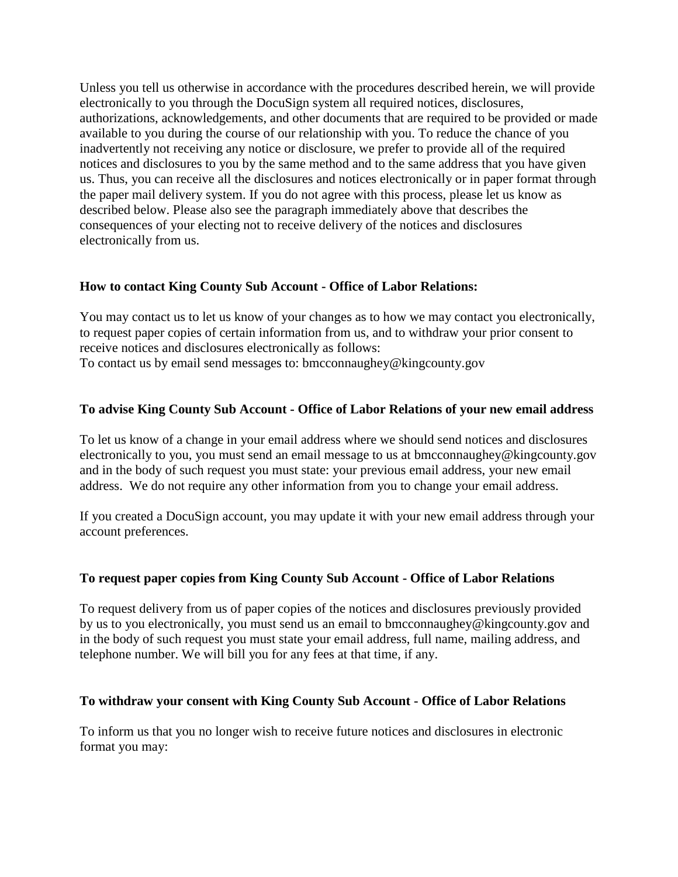Unless you tell us otherwise in accordance with the procedures described herein, we will provide electronically to you through the DocuSign system all required notices, disclosures, authorizations, acknowledgements, and other documents that are required to be provided or made available to you during the course of our relationship with you. To reduce the chance of you inadvertently not receiving any notice or disclosure, we prefer to provide all of the required notices and disclosures to you by the same method and to the same address that you have given us. Thus, you can receive all the disclosures and notices electronically or in paper format through the paper mail delivery system. If you do not agree with this process, please let us know as described below. Please also see the paragraph immediately above that describes the consequences of your electing not to receive delivery of the notices and disclosures electronically from us.

#### **How to contact King County Sub Account - Office of Labor Relations:**

You may contact us to let us know of your changes as to how we may contact you electronically, to request paper copies of certain information from us, and to withdraw your prior consent to receive notices and disclosures electronically as follows: To contact us by email send messages to: bmcconnaughey@kingcounty.gov

#### **To advise King County Sub Account - Office of Labor Relations of your new email address**

To let us know of a change in your email address where we should send notices and disclosures electronically to you, you must send an email message to us at bmcconnaughey@kingcounty.gov and in the body of such request you must state: your previous email address, your new email address. We do not require any other information from you to change your email address.

If you created a DocuSign account, you may update it with your new email address through your account preferences.

#### **To request paper copies from King County Sub Account - Office of Labor Relations**

To request delivery from us of paper copies of the notices and disclosures previously provided by us to you electronically, you must send us an email to bmcconnaughey@kingcounty.gov and in the body of such request you must state your email address, full name, mailing address, and telephone number. We will bill you for any fees at that time, if any.

#### **To withdraw your consent with King County Sub Account - Office of Labor Relations**

To inform us that you no longer wish to receive future notices and disclosures in electronic format you may: